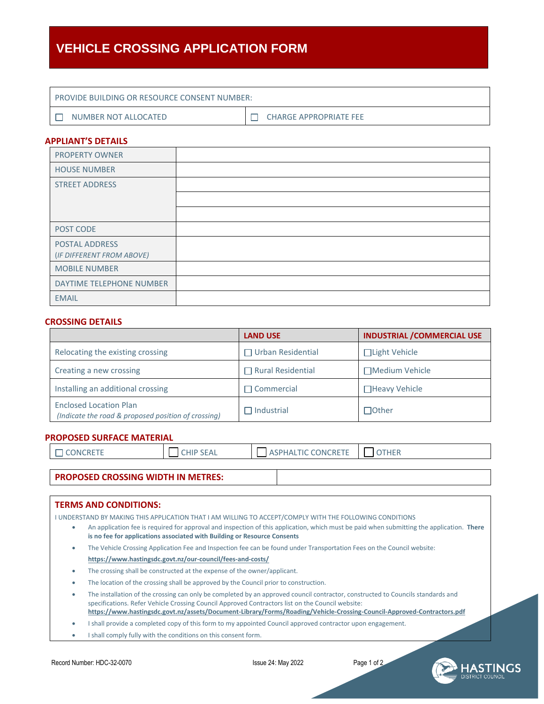# **VEHICLE CROSSING APPLICATION FORM**

| <b>I PROVIDE BUILDING OR RESOURCE CONSENT NUMBER:</b> |                               |  |  |
|-------------------------------------------------------|-------------------------------|--|--|
| NUMBER NOT ALLOCATED                                  | <b>CHARGE APPROPRIATE FEE</b> |  |  |

### **APPLIANT'S DETAILS**

| <b>PROPERTY OWNER</b>                       |  |
|---------------------------------------------|--|
| <b>HOUSE NUMBER</b>                         |  |
| <b>STREET ADDRESS</b>                       |  |
|                                             |  |
|                                             |  |
| POST CODE                                   |  |
| POSTAL ADDRESS<br>(IF DIFFERENT FROM ABOVE) |  |
| <b>MOBILE NUMBER</b>                        |  |
| DAYTIME TELEPHONE NUMBER                    |  |
| <b>EMAIL</b>                                |  |

#### **CROSSING DETAILS**

|                                                                                      | <b>LAND USE</b>          | <b>INDUSTRIAL / COMMERCIAL USE</b> |
|--------------------------------------------------------------------------------------|--------------------------|------------------------------------|
| $\Box$ Urban Residential<br>Relocating the existing crossing                         |                          | $\Box$ Light Vehicle               |
| Creating a new crossing                                                              | $\Box$ Rural Residential | □Medium Vehicle                    |
| Installing an additional crossing                                                    | $\Box$ Commercial        | □Heavy Vehicle                     |
| <b>Enclosed Location Plan</b><br>(Indicate the road & proposed position of crossing) | $\Box$ Industrial        | $\Box$ Other                       |

#### **PROPOSED SURFACE MATERIAL**

| <b>DNCRETE</b><br>11111111 | <b>SEAL</b><br>CHIP | <b>DNIC</b><br>חטר<br>11 L | 100<br>. <del>.</del> |
|----------------------------|---------------------|----------------------------|-----------------------|
|                            |                     |                            |                       |

## **PROPOSED CROSSING WIDTH IN METRES:**

#### **TERMS AND CONDITIONS:**

I UNDERSTAND BY MAKING THIS APPLICATION THAT I AM WILLING TO ACCEPT/COMPLY WITH THE FOLLOWING CONDITIONS

- An application fee is required for approval and inspection of this application, which must be paid when submitting the application. **There is no fee for applications associated with Building or Resource Consents**
- The Vehicle Crossing Application Fee and Inspection fee can be found under Transportation Fees on the Council website: **https://www.hastingsdc.govt.nz/our-council/fees-and-costs/**
- The crossing shall be constructed at the expense of the owner/applicant.
- The location of the crossing shall be approved by the Council prior to construction.

 The installation of the crossing can only be completed by an approved council contractor, constructed to Councils standards and specifications. Refer Vehicle Crossing Council Approved Contractors list on the Council website: **<https://www.hastingsdc.govt.nz/assets/Document-Library/Forms/Roading/Vehicle-Crossing-Council-Approved-Contractors.pdf>**

I shall provide a completed copy of this form to my appointed Council approved contractor upon engagement.

• I shall comply fully with the conditions on this consent form.